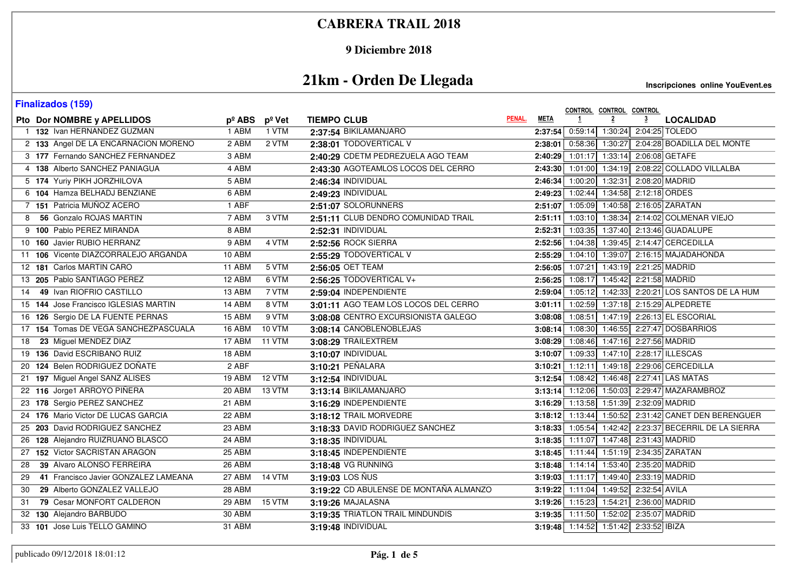### **9 Diciembre 2018**

# **21km - Orden De Llegada**

| <b>Finalizados (159)</b>                   |                 |        |                                        |        |             | CONTROL CONTROL CONTROL                |                |                |                                                       |
|--------------------------------------------|-----------------|--------|----------------------------------------|--------|-------------|----------------------------------------|----------------|----------------|-------------------------------------------------------|
| Pto Dor NOMBRE y APELLIDOS                 | $p^{\circ}$ ABS | pº Vet | <b>TIEMPO CLUB</b>                     | PENAL. | <b>META</b> |                                        | $\overline{2}$ | $\overline{3}$ | <b>LOCALIDAD</b>                                      |
| 1 132 Ivan HERNANDEZ GUZMAN                | 1 ABM           | 1 VTM  | 2:37:54 BIKILAMANJARO                  |        |             |                                        |                |                | 2:37:54 0:59:14 1:30:24 2:04:25 TOLEDO                |
| 2 133 Angel DE LA ENCARNACION MORENO       | 2 ABM           | 2 VTM  | 2:38:01 TODOVERTICAL V                 |        |             |                                        |                |                | 2:38:01 0:58:36 1:30:27 2:04:28 BOADILLA DEL MONTE    |
| 3 177 Fernando SANCHEZ FERNANDEZ           | 3 ABM           |        | 2:40:29 CDETM PEDREZUELA AGO TEAM      |        |             | 2:40:29 1:01:17 1:33:14 2:06:08 GETAFE |                |                |                                                       |
| 4 138 Alberto SANCHEZ PANIAGUA             | 4 ABM           |        | 2:43:30 AGOTEAMLOS LOCOS DEL CERRO     |        |             |                                        |                |                | 2:43:30 1:01:00 1:34:19 2:08:22 COLLADO VILLALBA      |
| 5 174 Yuriy PIKH JORZHILOVA                | 5 ABM           |        | 2:46:34 INDIVIDUAL                     |        |             | 2:46:34 1:00:20 1:32:31 2:08:20 MADRID |                |                |                                                       |
| 6 104 Hamza BELHADJ BENZIANE               | 6 ABM           |        | 2:49:23 INDIVIDUAL                     |        |             | 2:49:23 1:02:44 1:34:58 2:12:18 ORDES  |                |                |                                                       |
| 7 151 Patricia MUÑOZ ACERO                 | 1 ABF           |        | 2:51:07 SOLORUNNERS                    |        |             |                                        |                |                | 2:51:07 1:05:09 1:40:58 2:16:05 ZARATAN               |
| 56 Gonzalo ROJAS MARTIN<br>8               | 7 ABM           | 3 VTM  | 2:51:11 CLUB DENDRO COMUNIDAD TRAIL    |        |             |                                        |                |                | 2:51:11 1:03:10 1:38:34 2:14:02 COLMENAR VIEJO        |
| 9 100 Pablo PEREZ MIRANDA                  | 8 ABM           |        | 2:52:31 INDIVIDUAL                     |        |             |                                        |                |                | 2:52:31 1:03:35 1:37:40 2:13:46 GUADALUPE             |
| 10 160 Javier RUBIO HERRANZ                | 9 ABM           | 4 VTM  | 2:52:56 ROCK SIERRA                    |        |             |                                        |                |                | 2:52:56 1:04:38 1:39:45 2:14:47 CERCEDILLA            |
| 11 106 Vicente DIAZCORRALEJO ARGANDA       | 10 ABM          |        | 2:55:29 TODOVERTICAL V                 |        |             |                                        |                |                | 2:55:29 1:04:10 1:39:07 2:16:15 MAJADAHONDA           |
| 12 181 Carlos MARTIN CARO                  | 11 ABM          | 5 VTM  | 2:56:05 OET TEAM                       |        |             | 2:56:05 1:07:21 1:43:19 2:21:25 MADRID |                |                |                                                       |
| 13 205 Pablo SANTIAGO PEREZ                | 12 ABM          | 6 VTM  | 2:56:25 TODOVERTICAL V+                |        |             | 2:56:25 1:08:17 1:45:42 2:21:58 MADRID |                |                |                                                       |
| 49 Ivan RIOFRIO CASTILLO<br>14             | 13 ABM          | 7 VTM  | 2:59:04 INDEPENDIENTE                  |        |             |                                        |                |                | 2:59:04 1:05:12 1:42:33 2:20:21 LOS SANTOS DE LA HUM  |
| 15 144 Jose Francisco IGLESIAS MARTIN      | 14 ABM          | 8 VTM  | 3:01:11 AGO TEAM LOS LOCOS DEL CERRO   |        |             |                                        |                |                | 3:01:11 1:02:59 1:37:18 2:15:29 ALPEDRETE             |
| 16 126 Sergio DE LA FUENTE PERNAS          | 15 ABM          | 9 VTM  | 3:08:08 CENTRO EXCURSIONISTA GALEGO    |        |             |                                        |                |                | 3:08:08 1:08:51 1:47:19 2:26:13 EL ESCORIAL           |
| 17 154 Tomas DE VEGA SANCHEZPASCUALA       | 16 ABM          | 10 VTM | 3:08:14 CANOBLENOBLEJAS                |        |             |                                        |                |                | 3:08:14 1:08:30 1:46:55 2:27:47 DOSBARRIOS            |
| 23 Miguel MENDEZ DIAZ<br>18                | 17 ABM          | 11 VTM | 3:08:29 TRAILEXTREM                    |        |             | 3:08:29 1:08:46 1:47:16 2:27:56 MADRID |                |                |                                                       |
| 19 136 David ESCRIBANO RUIZ                | 18 ABM          |        | 3:10:07 INDIVIDUAL                     |        |             |                                        |                |                | 3:10:07 1:09:33 1:47:10 2:28:17 ILLESCAS              |
| 20 124 Belen RODRIGUEZ DOÑATE              | 2 ABF           |        | 3:10:21 PEÑALARA                       |        |             |                                        |                |                | 3:10:21 1:12:11 1:49:18 2:29:06 CERCEDILLA            |
| 21 197 Miguel Angel SANZ ALISES            | 19 ABM          | 12 VTM | 3:12:54 INDIVIDUAL                     |        |             |                                        |                |                | 3:12:54 1:08:42 1:46:48 2:27:41 LAS MATAS             |
| 22 116 Jorge1 ARROYO PIÑERA                | 20 ABM          | 13 VTM | 3:13:14 BIKILAMANJARO                  |        |             |                                        |                |                | 3:13:14 1:12:06 1:50:03 2:29:47 MAZARAMBROZ           |
| 23 178 Sergio PEREZ SANCHEZ                | $21$ ABM        |        | 3:16:29 INDEPENDIENTE                  |        |             | 3:16:29 1:13:58 1:51:39 2:32:09 MADRID |                |                |                                                       |
| 24 176 Mario Victor DE LUCAS GARCIA        | 22 ABM          |        | 3:18:12 TRAIL MORVEDRE                 |        |             |                                        |                |                | 3:18:12 1:13:44 1:50:52 2:31:42 CANET DEN BERENGUER   |
| 25 203 David RODRIGUEZ SANCHEZ             | 23 ABM          |        | 3:18:33 DAVID RODRIGUEZ SANCHEZ        |        |             |                                        |                |                | 3:18:33 1:05:54 1:42:42 2:23:37 BECERRIL DE LA SIERRA |
| 26 128 Alejandro RUIZRUANO BLASCO          | 24 ABM          |        | 3:18:35 INDIVIDUAL                     |        |             | 3:18:35 1:11:07 1:47:48 2:31:43 MADRID |                |                |                                                       |
| 27 152 Victor SACRISTAN ARAGON             | 25 ABM          |        | 3:18:45 INDEPENDIENTE                  |        |             |                                        |                |                | 3:18:45 1:11:44 1:51:19 2:34:35 ZARATAN               |
| 39 Alvaro ALONSO FERREIRA<br>28            | 26 ABM          |        | 3:18:48 VG RUNNING                     |        |             | 3:18:48 1:14:14 1:53:40 2:35:20 MADRID |                |                |                                                       |
| 41 Francisco Javier GONZALEZ LAMEANA<br>29 | 27 ABM          | 14 VTM | 3:19:03 LOS ÑUS                        |        |             | 3:19:03 1:11:17 1:49:40 2:33:19 MADRID |                |                |                                                       |
| 29 Alberto GONZALEZ VALLEJO<br>30          | 28 ABM          |        | 3:19:22 CD ABULENSE DE MONTAÑA ALMANZO |        |             | 3:19:22 1:11:04 1:49:52 2:32:54 AVILA  |                |                |                                                       |
| 79 Cesar MONFORT CALDERON<br>31            | 29 ABM          | 15 VTM | 3:19:26 MAJALASNA                      |        |             | 3:19:26 1:15:23 1:54:21 2:36:00 MADRID |                |                |                                                       |
| 32 130 Alejandro BARBUDO                   | 30 ABM          |        | 3:19:35 TRIATLON TRAIL MINDUNDIS       |        |             | 3:19:35 1:11:50 1:52:02 2:35:07 MADRID |                |                |                                                       |
| 33 101 Jose Luis TELLO GAMINO              | 31 ABM          |        | 3:19:48 INDIVIDUAL                     |        |             | 3:19:48 1:14:52 1:51:42 2:33:52 IBIZA  |                |                |                                                       |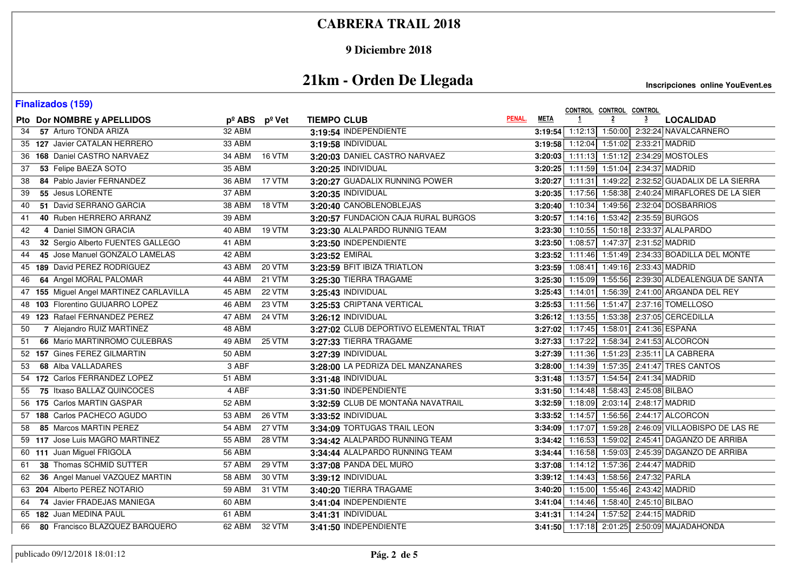### **9 Diciembre 2018**

# **21km - Orden De Llegada**

| <b>Finalizados (159)</b>                |                 |                     |                                        |        |             | CONTROL CONTROL CONTROL                |                |                |                                                       |
|-----------------------------------------|-----------------|---------------------|----------------------------------------|--------|-------------|----------------------------------------|----------------|----------------|-------------------------------------------------------|
| Pto Dor NOMBRE y APELLIDOS              | $p^{\circ}$ ABS | pº Vet              | <b>TIEMPO CLUB</b>                     | PENAL. | <b>META</b> |                                        | $\overline{2}$ | $\overline{3}$ | <b>LOCALIDAD</b>                                      |
| 57 Arturo TONDA ARIZA<br>34             | 32 ABM          |                     | 3:19:54 INDEPENDIENTE                  |        |             |                                        |                |                | 3:19:54 1:12:13 1:50:00 2:32:24 NAVALCARNERO          |
| 35 127 Javier CATALAN HERRERO           | 33 ABM          |                     | 3:19:58 INDIVIDUAL                     |        |             | 3:19:58 1:12:04 1:51:02 2:33:21 MADRID |                |                |                                                       |
| 36 168 Daniel CASTRO NARVAEZ            | 34 ABM          | 16 VTM              | 3:20:03 DANIEL CASTRO NARVAEZ          |        |             |                                        |                |                | 3:20:03 1:11:13 1:51:12 2:34:29 MOSTOLES              |
| 53 Felipe BAEZA SOTO<br>37              | 35 ABM          |                     | 3:20:25 INDIVIDUAL                     |        |             | 3:20:25 1:11:59 1:51:04 2:34:37 MADRID |                |                |                                                       |
| 84 Pablo Javier FERNANDEZ<br>38         | 36 ABM          | 17 VTM              | 3:20:27 GUADALIX RUNNING POWER         |        |             |                                        |                |                | 3:20:27 1:11:31 1:49:22 2:32:52 GUADALIX DE LA SIERRA |
| 55 Jesus LORENTE<br>39                  | 37 ABM          |                     | 3:20:35 INDIVIDUAL                     |        |             |                                        |                |                | 3:20:35 1:17:56 1:58:38 2:40:24 MIRAFLORES DE LA SIER |
| 51 David SERRANO GARCIA<br>40           | 38 ABM          | 18 VTM              | 3:20:40 CANOBLENOBLEJAS                |        |             |                                        |                |                | 3:20:40 1:10:34 1:49:56 2:32:04 DOSBARRIOS            |
| 40 Ruben HERRERO ARRANZ<br>41           | 39 ABM          |                     | 3:20:57 FUNDACION CAJA RURAL BURGOS    |        |             |                                        |                |                | 3:20:57 1:14:16 1:53:42 2:35:59 BURGOS                |
| 4 Daniel SIMON GRACIA<br>42             | 40 ABM          | <b>19 VTM</b>       | 3:23:30 ALALPARDO RUNNIG TEAM          |        |             |                                        |                |                | 3:23:30 1:10:55 1:50:18 2:33:37 ALALPARDO             |
| 32 Sergio Alberto FUENTES GALLEGO<br>43 | 41 ABM          |                     | 3:23:50 INDEPENDIENTE                  |        |             | 3:23:50 1:08:57 1:47:37 2:31:52 MADRID |                |                |                                                       |
| 45 Jose Manuel GONZALO LAMELAS<br>44    | 42 ABM          |                     | 3:23:52 EMIRAL                         |        |             |                                        |                |                | 3:23:52 1:11:46 1:51:49 2:34:33 BOADILLA DEL MONTE    |
| 189 David PEREZ RODRIGUEZ<br>45         | 43 ABM          | $20 VT\overline{M}$ | 3:23:59 BFIT IBIZA TRIATLON            |        |             | 3:23:59 1:08:41 1:49:16 2:33:43 MADRID |                |                |                                                       |
| 64 Angel MORAL PALOMAR<br>46            | 44 ABM          | <b>21 VTM</b>       | 3:25:30 TIERRA TRAGAME                 |        |             |                                        |                |                | 3:25:30 1:15:09 1:55:56 2:39:30 ALDEALENGUA DE SANTA  |
| 47 155 Miguel Angel MARTINEZ CARLAVILLA | 45 ABM          | 22 VTM              | 3:25:43 INDIVIDUAL                     |        |             |                                        |                |                | 3:25:43 1:14:01 1:56:39 2:41:00 ARGANDA DEL REY       |
| 48 103 Florentino GUIJARRO LOPEZ        | 46 ABM          | 23 VTM              | 3:25:53 CRIPTANA VERTICAL              |        |             |                                        |                |                | 3:25:53 1:11:56 1:51:47 2:37:16 TOMELLOSO             |
| 49 123 Rafael FERNANDEZ PEREZ           | 47 ABM          | <b>24 VTM</b>       | 3:26:12 INDIVIDUAL                     |        |             |                                        |                |                | 3:26:12 1:13:55 1:53:38 2:37:05 CERCEDILLA            |
| 7 Alejandro RUIZ MARTINEZ<br>50         | 48 ABM          |                     | 3:27:02 CLUB DEPORTIVO ELEMENTAL TRIAT |        |             | $3:27:02$ 1:17:45 1:58:01              |                |                | 2:41:36 ESPAÑA                                        |
| 66 Mario MARTINROMO CULEBRAS<br>51      | 49 ABM          | 25 VTM              | 3:27:33 TIERRA TRAGAME                 |        |             |                                        |                |                | 3:27:33 1:17:22 1:58:34 2:41:53 ALCORCON              |
| 52 157 Gines FEREZ GILMARTIN            | <b>50 ABM</b>   |                     | 3:27:39 INDIVIDUAL                     |        |             |                                        |                |                | 3:27:39 1:11:36 1:51:23 2:35:11 LA CABRERA            |
| 68 Alba VALLADARES<br>53                | 3 ABF           |                     | 3:28:00 LA PEDRIZA DEL MANZANARES      |        |             |                                        |                |                | 3:28:00 1:14:39 1:57:35 2:41:47 TRES CANTOS           |
| 54 172 Carlos FERRANDEZ LOPEZ           | 51 ABM          |                     | 3:31:48 INDIVIDUAL                     |        |             | 3:31:48 1:13:57 1:54:54 2:41:34 MADRID |                |                |                                                       |
| 75 Itxaso BALLAZ QUINCOCES<br>55        | 4 ABF           |                     | 3:31:50 INDEPENDIENTE                  |        |             | 3:31:50 1:14:48 1:58:43 2:45:08 BILBAO |                |                |                                                       |
| 56 175 Carlos MARTIN GASPAR             | 52 ABM          |                     | 3:32:59 CLUB DE MONTAÑA NAVATRAIL      |        |             | 3:32:59 1:18:09 2:03:14 2:48:17 MADRID |                |                |                                                       |
| 57 188 Carlos PACHECO AGUDO             | 53 ABM          | <b>26 VTM</b>       | 3:33:52 INDIVIDUAL                     |        |             |                                        |                |                | 3:33:52 1:14:57 1:56:56 2:44:17 ALCORCON              |
| 85 Marcos MARTIN PEREZ<br>58            | <b>54 ABM</b>   | 27 VTM              | 3:34:09 TORTUGAS TRAIL LEON            |        |             |                                        |                |                | 3:34:09 1:17:07 1:59:28 2:46:09 VILLAOBISPO DE LAS RE |
| 59 117 Jose Luis MAGRO MARTINEZ         | <b>55 ABM</b>   | <b>28 VTM</b>       | 3:34:42 ALALPARDO RUNNING TEAM         |        |             |                                        |                |                | 3:34:42 1:16:53 1:59:02 2:45:41 DAGANZO DE ARRIBA     |
| 60 111 Juan Miguel FRIGOLA              | <b>56 ABM</b>   |                     | 3:34:44 ALALPARDO RUNNING TEAM         |        |             |                                        |                |                | 3:34:44 1:16:58 1:59:03 2:45:39 DAGANZO DE ARRIBA     |
| 38 Thomas SCHMID SUTTER<br>61           | 57 ABM          | <b>29 VTM</b>       | 3:37:08 PANDA DEL MURO                 |        |             | 3:37:08 1:14:12 1:57:36 2:44:47 MADRID |                |                |                                                       |
| 36 Angel Manuel VAZQUEZ MARTIN<br>62    | <b>58 ABM</b>   | 30 VTM              | 3:39:12 INDIVIDUAL                     |        |             | 3:39:12 1:14:43 1:58:56 2:47:32 PARLA  |                |                |                                                       |
| 63 204 Alberto PEREZ NOTARIO            | <b>59 ABM</b>   | 31 VTM              | 3:40:20 TIERRA TRAGAME                 |        |             | 3:40:20 1:15:00 1:55:46 2:43:42 MADRID |                |                |                                                       |
| 74 Javier FRADEJAS MANIEGA<br>64        | 60 ABM          |                     | 3:41:04 INDEPENDIENTE                  |        |             | 3:41:04 1:14:46 1:58:40 2:45:10 BILBAO |                |                |                                                       |
| 65 182 Juan MEDINA PAUL                 | 61 ABM          |                     | 3:41:31 INDIVIDUAL                     |        |             | 3:41:31 1:14:24 1:57:52 2:44:15 MADRID |                |                |                                                       |
| 80 Francisco BLAZQUEZ BARQUERO<br>66    | 62 ABM          | 32 VTM              | 3:41:50 INDEPENDIENTE                  |        |             |                                        |                |                | 3:41:50 1:17:18 2:01:25 2:50:09 MAJADAHONDA           |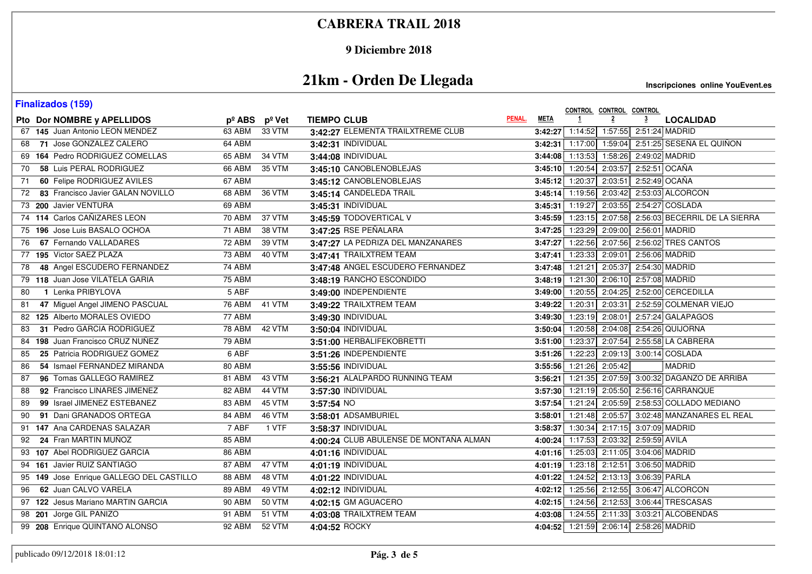### **9 Diciembre 2018**

# **21km - Orden De Llegada**

| <b>Finalizados (159)</b>                 |                 |               |                                        |                       |                   | CONTROL CONTROL CONTROL                |                |                                                       |
|------------------------------------------|-----------------|---------------|----------------------------------------|-----------------------|-------------------|----------------------------------------|----------------|-------------------------------------------------------|
| Pto Dor NOMBRE y APELLIDOS               | $p^{\circ}$ ABS | pº Vet        | <b>TIEMPO CLUB</b>                     | PENAL.<br><b>META</b> |                   | $\overline{2}$                         | $\overline{3}$ | <b>LOCALIDAD</b>                                      |
| 67 145 Juan Antonio LEON MENDEZ          | 63 ABM          | 33 VTM        | 3:42:27 ELEMENTA TRAILXTREME CLUB      |                       |                   | 3:42:27 1:14:52 1:57:55 2:51:24 MADRID |                |                                                       |
| 71 Jose GONZALEZ CALERO<br>68            | 64 ABM          |               | 3:42:31 INDIVIDUAL                     |                       |                   |                                        |                | 3:42:31 1:17:00 1:59:04 2:51:25 SESEÑA EL QUIÑON      |
| 69 164 Pedro RODRIGUEZ COMELLAS          | 65 ABM          | <b>34 VTM</b> | 3:44:08 INDIVIDUAL                     |                       |                   | 3:44:08 1:13:53 1:58:26 2:49:02 MADRID |                |                                                       |
| 58 Luis PERAL RODRIGUEZ<br>70            | 66 ABM          | 35 VTM        | 3:45:10 CANOBLENOBLEJAS                |                       |                   | 3:45:10 1:20:54 2:03:57 2:52:51 OCAÑA  |                |                                                       |
| 60 Felipe RODRIGUEZ AVILES<br>71         | 67 ABM          |               | 3:45:12 CANOBLENOBLEJAS                |                       | $3:45:12$ 1:20:37 | 2:03:51                                | 2:52:49 OCAÑA  |                                                       |
| 83 Francisco Javier GALAN NOVILLO<br>72  | 68 ABM          | 36 VTM        | 3:45:14 CANDELEDA TRAIL                |                       |                   |                                        |                | 3:45:14 1:19:56 2:03:42 2:53:03 ALCORCON              |
| 73 200 Javier VENTURA                    | 69 ABM          |               | 3:45:31 INDIVIDUAL                     |                       |                   |                                        |                | 3:45:31 1:19:27 2:03:55 2:54:27 COSLADA               |
| 74 114 Carlos CAÑIZARES LEON             | 70 ABM          | 37 VTM        | 3:45:59 TODOVERTICAL V                 |                       |                   |                                        |                | 3:45:59 1:23:15 2:07:58 2:56:03 BECERRIL DE LA SIERRA |
| 75 196 Jose Luis BASALO OCHOA            | <b>71 ABM</b>   | <b>38 VTM</b> | 3:47:25 RSE PEÑALARA                   |                       |                   | 3:47:25 1:23:29 2:09:00                |                | 2:56:01 MADRID                                        |
| 67 Fernando VALLADARES<br>76             | 72 ABM          | 39 VTM        | 3:47:27 LA PEDRIZA DEL MANZANARES      |                       |                   |                                        |                | 3:47:27 1:22:56 2:07:56 2:56:02 TRES CANTOS           |
| 195 Victor SAEZ PLAZA<br>77              | 73 ABM          | 40 VTM        | 3:47:41 TRAILXTREM TEAM                |                       |                   | 3:47:41 1:23:33 2:09:01 2:56:06 MADRID |                |                                                       |
| 48 Angel ESCUDERO FERNANDEZ<br>78        | 74 ABM          |               | 3:47:48 ANGEL ESCUDERO FERNANDEZ       |                       |                   | 3:47:48 1:21:21 2:05:37                |                | 2:54:30 MADRID                                        |
| 79 118 Juan Jose VILATELA GARIA          | 75 ABM          |               | 3:48:19 RANCHO ESCONDIDO               |                       |                   | 3:48:19 1:21:30 2:06:10 2:57:08 MADRID |                |                                                       |
| 1 Lenka PRIBYLOVA<br>80                  | $5$ ABF         |               | 3:49:00 INDEPENDIENTE                  |                       |                   |                                        |                | 3:49:00 1:20:55 2:04:25 2:52:00 CERCEDILLA            |
| 47 Miguel Angel JIMENO PASCUAL<br>81     | 76 ABM          | 41 VTM        | 3:49:22 TRAILXTREM TEAM                |                       |                   |                                        |                | 3:49:22 1:20:31 2:03:31 2:52:59 COLMENAR VIEJO        |
| 82 125 Alberto MORALES OVIEDO            | 77 ABM          |               | 3:49:30 INDIVIDUAL                     |                       |                   | 3:49:30 1:23:19 2:08:01                |                | 2:57:24 GALAPAGOS                                     |
| 31 Pedro GARCIA RODRIGUEZ<br>83          | <b>78 ABM</b>   | 42 VTM        | 3:50:04 INDIVIDUAL                     |                       |                   |                                        |                | 3:50:04 1:20:58 2:04:08 2:54:26 QUIJORNA              |
| 198 Juan Francisco CRUZ NUÑEZ<br>84      | 79 ABM          |               | 3:51:00 HERBALIFEKOBRETTI              |                       |                   |                                        |                | 3:51:00 1:23:37 2:07:54 2:55:58 LA CABRERA            |
| 25 Patricia RODRIGUEZ GOMEZ<br>85        | 6 ABF           |               | 3:51:26 INDEPENDIENTE                  |                       |                   |                                        |                | 3:51:26 1:22:23 2:09:13 3:00:14 COSLADA               |
| 54 Ismael FERNANDEZ MIRANDA<br>86        | 80 ABM          |               | 3:55:56 INDIVIDUAL                     |                       |                   | 3:55:56 1:21:26 2:05:42                |                | <b>MADRID</b>                                         |
| 96 Tomas GALLEGO RAMIREZ<br>87           | 81 ABM          | 43 VTM        | 3:56:21 ALALPARDO RUNNING TEAM         |                       |                   |                                        |                | 3:56:21 1:21:35 2:07:59 3:00:32 DAGANZO DE ARRIBA     |
| 92 Francisco LINARES JIMENEZ<br>88       | 82 ABM          | 44 VTM        | 3:57:30 INDIVIDUAL                     |                       |                   |                                        |                | 3:57:30 1:21:19 2:05:50 2:56:16 CARRANQUE             |
| 99 Israel JIMENEZ ESTEBANEZ<br>89        | 83 ABM          | $45$ VTM      | 3:57:54 NO                             |                       |                   |                                        |                | 3:57:54 1:21:24 2:05:59 2:58:53 COLLADO MEDIANO       |
| 91 Dani GRANADOS ORTEGA<br>90            | 84 ABM          | 46 VTM        | 3:58:01 ADSAMBURIEL                    |                       |                   |                                        |                | 3:58:01 1:21:48 2:05:57 3:02:48 MANZANARES EL REAL    |
| 91 147 Ana CARDENAS SALAZAR              | 7 ABF           | 1 VTF         | 3:58:37 INDIVIDUAL                     |                       |                   | 3:58:37 1:30:34 2:17:15 3:07:09 MADRID |                |                                                       |
| 24 Fran MARTIN MUÑOZ<br>92               | 85 ABM          |               | 4:00:24 CLUB ABULENSE DE MONTAÑA ALMAN |                       |                   | 4:00:24 1:17:53 2:03:32 2:59:59 AVILA  |                |                                                       |
| 93 107 Abel RODRIGUEZ GARCIA             | 86 ABM          |               | 4:01:16 INDIVIDUAL                     |                       |                   | 4:01:16 1:25:03 2:11:05 3:04:06 MADRID |                |                                                       |
| 94 161 Javier RUIZ SANTIAGO              | 87 ABM          | 47 VTM        | 4:01:19 INDIVIDUAL                     |                       |                   | 4:01:19 1:23:18 2:12:51 3:06:50 MADRID |                |                                                       |
| 95 149 Jose Enrique GALLEGO DEL CASTILLO | 88 ABM          | 48 VTM        | 4:01:22 INDIVIDUAL                     |                       |                   | 4:01:22 1:24:52 2:13:13 3:06:39 PARLA  |                |                                                       |
| 62 Juan CALVO VARELA<br>96               | 89 ABM          | <b>49 VTM</b> | 4:02:12 INDIVIDUAL                     |                       |                   |                                        |                | 4:02:12 1:25:56 2:12:55 3:06:47 ALCORCON              |
| 97 122 Jesus Mariano MARTIN GARCIA       | <b>90 ABM</b>   | 50 VTM        | 4:02:15 GM AGUACERO                    |                       |                   |                                        |                | 4:02:15 1:24:56 2:12:53 3:06:44 TRESCASAS             |
| 98 201 Jorge GIL PANIZO                  | 91 ABM          | 51 VTM        | 4:03:08 TRAILXTREM TEAM                |                       |                   |                                        |                | 4:03:08 1:24:55 2:11:33 3:03:21 ALCOBENDAS            |
| 99 208 Enrique QUINTANO ALONSO           | 92 ABM          | 52 VTM        | 4:04:52 ROCKY                          |                       |                   | 4:04:52 1:21:59 2:06:14 2:58:26 MADRID |                |                                                       |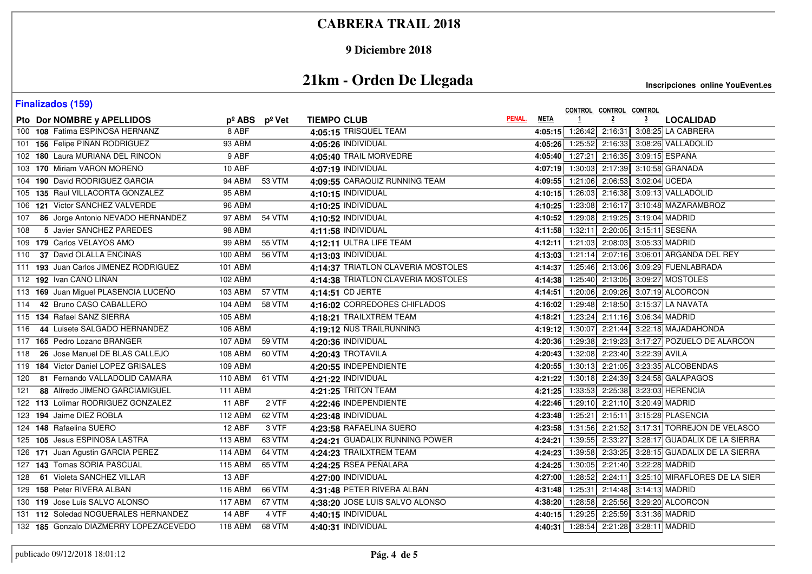### **9 Diciembre 2018**

# **21km - Orden De Llegada**

| <b>Finalizados (159)</b>                 |                |                                 |                                    |        |             | CONTROL CONTROL CONTROL                      |                |                                                           |
|------------------------------------------|----------------|---------------------------------|------------------------------------|--------|-------------|----------------------------------------------|----------------|-----------------------------------------------------------|
| Pto Dor NOMBRE y APELLIDOS               |                | $p^{\circ}$ ABS $p^{\circ}$ Vet | <b>TIEMPO CLUB</b>                 | PENAL. | <b>META</b> | $\overline{2}$                               | $\overline{3}$ | <b>LOCALIDAD</b>                                          |
| 100 108 Fatima ESPINOSA HERNANZ          | 8 ABF          |                                 | 4:05:15 TRISQUEL TEAM              |        |             | 4:05:15 1:26:42 2:16:31                      |                | 3:08:25 LA CABRERA                                        |
| 101 156 Felipe PIÑAN RODRIGUEZ           | 93 ABM         |                                 | 4:05:26 INDIVIDUAL                 |        |             |                                              |                | 4:05:26 1:25:52 2:16:33 3:08:26 VALLADOLID                |
| 102 180 Laura MURIANA DEL RINCON         | 9 ABF          |                                 | 4:05:40 TRAIL MORVEDRE             |        |             |                                              |                | 4:05:40 1:27:21 2:16:35 3:09:15 ESPAÑA                    |
| 103 170 Miriam VARON MORENO              | 10 ABF         |                                 | 4:07:19 INDIVIDUAL                 |        |             |                                              |                | 4:07:19 1:30:03 2:17:39 3:10:58 GRANADA                   |
| 104 190 David RODRIGUEZ GARCIA           | 94 ABM         | 53 VTM                          | 4:09:55 CARAQUIZ RUNNING TEAM      |        |             | 4:09:55 1:21:06 2:06:53 3:02:04 UCEDA        |                |                                                           |
| 105 135 Raul VILLACORTA GONZALEZ         | 95 ABM         |                                 | 4:10:15 INDIVIDUAL                 |        |             |                                              |                | 4:10:15 1:26:03 2:16:38 3:09:13 VALLADOLID                |
| 106 121 Victor SANCHEZ VALVERDE          | 96 ABM         |                                 | 4:10:25 INDIVIDUAL                 |        |             |                                              |                | 4:10:25 1:23:08 2:16:17 3:10:48 MAZARAMBROZ               |
| 86 Jorge Antonio NEVADO HERNANDEZ<br>107 | 97 ABM         | <b>54 VTM</b>                   | 4:10:52 INDIVIDUAL                 |        |             | 4:10:52 1:29:08 2:19:25 3:19:04 MADRID       |                |                                                           |
| 5 Javier SANCHEZ PAREDES<br>108          | <b>98 ABM</b>  |                                 | 4:11:58 INDIVIDUAL                 |        |             |                                              |                | 4:11:58 1:32:11 2:20:05 3:15:11 SESEÑA                    |
| 109 179 Carlos VELAYOS AMO               | 99 ABM         | 55 VTM                          | 4:12:11 ULTRA LIFE TEAM            |        |             | 4:12:11 1:21:03 2:08:03 3:05:33 MADRID       |                |                                                           |
| 37 David OLALLA ENCINAS<br>110           | 100 ABM        | 56 VTM                          | 4:13:03 INDIVIDUAL                 |        |             |                                              |                | 4:13:03 1:21:14 2:07:16 3:06:01 ARGANDA DEL REY           |
| 111 193 Juan Carlos JIMENEZ RODRIGUEZ    | 101 ABM        |                                 | 4:14:37 TRIATLON CLAVERIA MOSTOLES |        |             |                                              |                | 4:14:37 1:25:46 2:13:06 3:09:29 FUENLABRADA               |
| 112 192 Ivan CANO LIÑAN                  | 102 ABM        |                                 | 4:14:38 TRIATLON CLAVERIA MOSTOLES |        |             |                                              |                | 4:14:38 1:25:40 2:13:05 3:09:27 MOSTOLES                  |
| 113 169 Juan Miguel PLASENCIA LUCEÑO     | 103 ABM        | 57 VTM                          | 4:14:51 CD JERTE                   |        |             |                                              |                | 4:14:51 1:20:06 2:09:26 3:07:19 ALCORCON                  |
| 42 Bruno CASO CABALLERO<br>114           | 104 ABM        | 58 VTM                          | 4:16:02 CORREDORES CHIFLADOS       |        |             |                                              |                | 4:16:02 1:29:48 2:18:50 3:15:37 LA NAVATA                 |
| 115 134 Rafael SANZ SIERRA               | <b>105 ABM</b> |                                 | 4:18:21 TRAILXTREM TEAM            |        |             | 4:18:21 1:23:24 2:11:16 3:06:34 MADRID       |                |                                                           |
| 44 Luisete SALGADO HERNANDEZ<br>116      | <b>106 ABM</b> |                                 | 4:19:12 NUS TRAILRUNNING           |        |             |                                              |                | 4:19:12 1:30:07 2:21:44 3:22:18 MAJADAHONDA               |
| 165 Pedro Lozano BRANGER<br>117          | 107 ABM        | 59 VTM                          | 4:20:36 INDIVIDUAL                 |        |             |                                              |                | 4:20:36 1:29:38 2:19:23 3:17:27 POZUELO DE ALARCON        |
| 26 Jose Manuel DE BLAS CALLEJO<br>118    | 108 ABM        | 60 VTM                          | 4:20:43 TROTAVILA                  |        |             | 4:20:43 1:32:08 2:23:40 3:22:39 AVILA        |                |                                                           |
| 119 184 Victor Daniel LOPEZ GRISALES     | 109 ABM        |                                 | 4:20:55 INDEPENDIENTE              |        |             |                                              |                | 4:20:55   1:30:13   2:21:05   3:23:35 ALCOBENDAS          |
| 81 Fernando VALLADOLID CAMARA<br>120     | 110 ABM        | 61 VTM                          | 4:21:22 INDIVIDUAL                 |        |             |                                              |                | 4:21:22 1:30:18 2:24:39 3:24:58 GALAPAGOS                 |
| 88 Alfredo JIMENO GARCIAMIGUEL<br>121    | <b>111 ABM</b> |                                 | 4:21:25 TRITON TEAM                |        |             |                                              |                | 4:21:25 1:33:53 2:25:38 3:23:03 HERENCIA                  |
| 122 113 Lolimar RODRIGUEZ GONZALEZ       | $11$ ABF       | 2 VTF                           | 4:22:46 INDEPENDIENTE              |        |             | 4:22:46 1:29:10 2:21:10 3:20:49 MADRID       |                |                                                           |
| 123 194 Jaime DIEZ ROBLA                 | 112 ABM        | 62 VTM                          | 4:23:48 INDIVIDUAL                 |        |             |                                              |                | 4:23:48 1:25:21 2:15:11 3:15:28 PLASENCIA                 |
| 124 148 Rafaelina SUERO                  | 12 ABF         | 3 VTF                           | 4:23:58 RAFAELINA SUERO            |        |             |                                              |                | 4:23:58   1:31:56   2:21:52   3:17:31 TORREJON DE VELASCO |
| 125 105 Jesus ESPINOSA LASTRA            | 113 ABM        | 63 VTM                          | 4:24:21 GUADALIX RUNNING POWER     |        | 4:24:21     | 1:39:55 2:33:27                              |                | 3:28:17 GUADALIX DE LA SIERRA                             |
| 126 171 Juan Agustin GARCIA PEREZ        | <b>114 ABM</b> | 64 VTM                          | 4:24:23 TRAILXTREM TEAM            |        |             | 4:24:23 1:39:58 2:33:25                      |                | 3:28:15 GUADALIX DE LA SIERRA                             |
| 127 143 Tomas SORIA PASCUAL              | <b>115 ABM</b> | 65 VTM                          | 4:24:25 RSEA PEÑALARA              |        |             |                                              |                | 4:24:25 1:30:05 2:21:40 3:22:28 MADRID                    |
| 61 Violeta SANCHEZ VILLAR<br>128         | 13 ABF         |                                 | 4:27:00 INDIVIDUAL                 |        |             |                                              |                | 4:27:00 1:28:52 2:24:11 3:25:10 MIRAFLORES DE LA SIER     |
| 129 158 Peter RIVERA ALBAN               | 116 ABM        | 66 VTM                          | 4:31:48 PETER RIVERA ALBAN         |        |             | 4:31:48 1:25:31 2:14:48 3:14:13 MADRID       |                |                                                           |
| 130 119 Jose Luis SALVO ALONSO           | <b>117 ABM</b> | 67 VTM                          | 4:38:20 JOSE LUIS SALVO ALONSO     |        |             |                                              |                | 4:38:20 1:28:58 2:25:56 3:29:20 ALCORCON                  |
| 131 112 Soledad NOGUERALES HERNANDEZ     | 14 ABF         | 4 VTF                           | 4:40:15 INDIVIDUAL                 |        |             | 4:40:15 1:29:25 2:25:59 3:31:36 MADRID       |                |                                                           |
| 132 185 Gonzalo DIAZMERRY LOPEZACEVEDO   | 118 ABM        | 68 VTM                          | 4:40:31 INDIVIDUAL                 |        |             | 4:40:31   1:28:54   2:21:28   3:28:11 MADRID |                |                                                           |